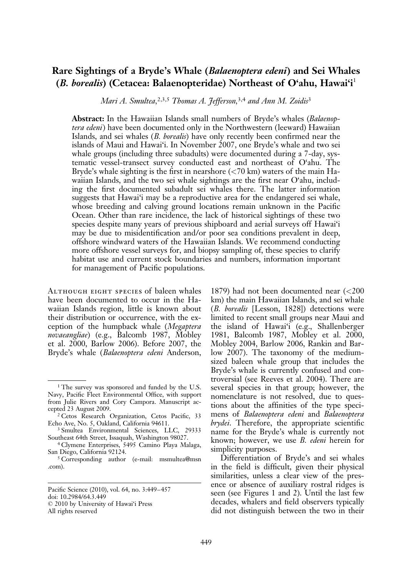# Rare Sightings of a Bryde's Whale (Balaenoptera edeni) and Sei Whales (B. borealis) (Cetacea: Balaenopteridae) Northeast of O'ahu, Hawai'i<sup>1</sup>

Mari A. Smultea, 2,3,5 Thomas A. Jefferson, 3,4 and Ann M. Zoidis<sup>3</sup>

Abstract: In the Hawaiian Islands small numbers of Bryde's whales (Balaenoptera edeni) have been documented only in the Northwestern (leeward) Hawaiian Islands, and sei whales *(B. borealis)* have only recently been confirmed near the islands of Maui and Hawai'i. In November 2007, one Bryde's whale and two sei whale groups (including three subadults) were documented during a 7-day, systematic vessel-transect survey conducted east and northeast of O'ahu. The Bryde's whale sighting is the first in nearshore  $\left( \langle 70 \text{ km} \rangle \right)$  waters of the main Hawaiian Islands, and the two sei whale sightings are the first near O'ahu, including the first documented subadult sei whales there. The latter information suggests that Hawai'i may be a reproductive area for the endangered sei whale, whose breeding and calving ground locations remain unknown in the Pacific Ocean. Other than rare incidence, the lack of historical sightings of these two species despite many years of previous shipboard and aerial surveys off Hawai'i may be due to misidentification and/or poor sea conditions prevalent in deep, offshore windward waters of the Hawaiian Islands. We recommend conducting more offshore vessel surveys for, and biopsy sampling of, these species to clarify habitat use and current stock boundaries and numbers, information important for management of Pacific populations.

Although eight species of baleen whales have been documented to occur in the Hawaiian Islands region, little is known about their distribution or occurrence, with the exception of the humpback whale (Megaptera novaeangliae) (e.g., Balcomb 1987, Mobley et al. 2000, Barlow 2006). Before 2007, the Bryde's whale (Balaenoptera edeni Anderson,

1879) had not been documented near (<200 km) the main Hawaiian Islands, and sei whale (B. borealis [Lesson, 1828]) detections were limited to recent small groups near Maui and the island of Hawai'i (e.g., Shallenberger 1981, Balcomb 1987, Mobley et al. 2000, Mobley 2004, Barlow 2006, Rankin and Barlow 2007). The taxonomy of the mediumsized baleen whale group that includes the Bryde's whale is currently confused and controversial (see Reeves et al. 2004). There are several species in that group; however, the nomenclature is not resolved, due to questions about the affinities of the type specimens of Balaenoptera edeni and Balaenoptera brydei. Therefore, the appropriate scientific name for the Bryde's whale is currently not known; however, we use B. edeni herein for simplicity purposes.

Differentiation of Bryde's and sei whales in the field is difficult, given their physical similarities, unless a clear view of the presence or absence of auxiliary rostral ridges is seen (see Figures 1 and 2). Until the last few decades, whalers and field observers typically did not distinguish between the two in their

<sup>&</sup>lt;sup>1</sup> The survey was sponsored and funded by the U.S. Navy, Pacific Fleet Environmental Office, with support from Julie Rivers and Cory Campora. Manuscript accepted 23 August 2009.

<sup>2</sup> Cetos Research Organization, Cetos Pacific, 33 Echo Ave, No. 5, Oakland, California 94611.

<sup>3</sup> Smultea Environmental Sciences, LLC, 29333 Southeast 64th Street, Issaquah, Washington 98027.

<sup>4</sup> Clymene Enterprises, 5495 Camino Playa Malaga, San Diego, California 92124.

<sup>5</sup> Corresponding author (e-mail: msmultea@msn .com).

Pacific Science (2010), vol. 64, no. 3:449–457 doi: 10.2984/64.3.449 : 2010 by University of Hawai'i Press All rights reserved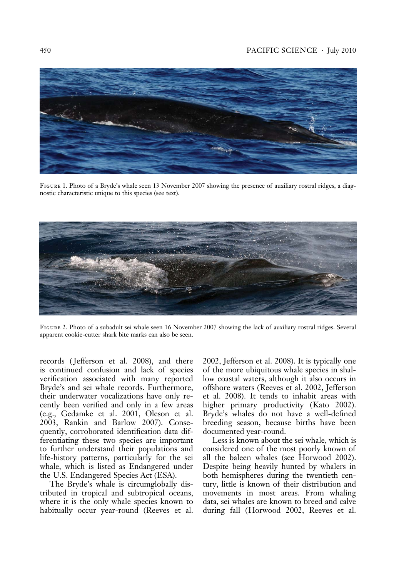# 450 PACIFIC SCIENCE . July 2010



Figure 1. Photo of a Bryde's whale seen 13 November 2007 showing the presence of auxiliary rostral ridges, a diagnostic characteristic unique to this species (see text).



Figure 2. Photo of a subadult sei whale seen 16 November 2007 showing the lack of auxiliary rostral ridges. Several apparent cookie-cutter shark bite marks can also be seen.

records ( Jefferson et al. 2008), and there is continued confusion and lack of species verification associated with many reported Bryde's and sei whale records. Furthermore, their underwater vocalizations have only recently been verified and only in a few areas (e.g., Gedamke et al. 2001, Oleson et al. 2003, Rankin and Barlow 2007). Consequently, corroborated identification data differentiating these two species are important to further understand their populations and life-history patterns, particularly for the sei whale, which is listed as Endangered under the U.S. Endangered Species Act (ESA).

The Bryde's whale is circumglobally distributed in tropical and subtropical oceans, where it is the only whale species known to habitually occur year-round (Reeves et al.

2002, Jefferson et al. 2008). It is typically one of the more ubiquitous whale species in shallow coastal waters, although it also occurs in offshore waters (Reeves et al. 2002, Jefferson et al. 2008). It tends to inhabit areas with higher primary productivity (Kato 2002). Bryde's whales do not have a well-defined breeding season, because births have been documented year-round.

Less is known about the sei whale, which is considered one of the most poorly known of all the baleen whales (see Horwood 2002). Despite being heavily hunted by whalers in both hemispheres during the twentieth century, little is known of their distribution and movements in most areas. From whaling data, sei whales are known to breed and calve during fall (Horwood 2002, Reeves et al.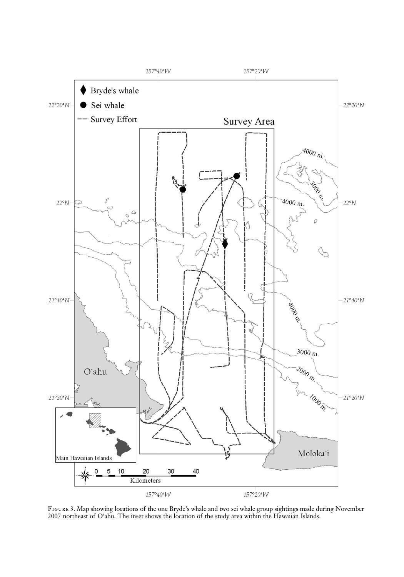

Figure 3. Map showing locations of the one Bryde's whale and two sei whale group sightings made during November 2007 northeast of O'ahu. The inset shows the location of the study area within the Hawaiian Islands.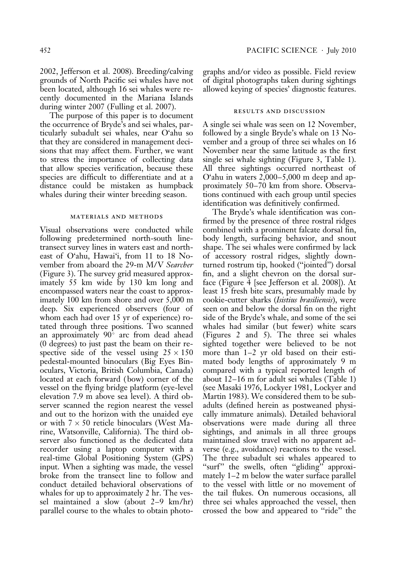2002, Jefferson et al. 2008). Breeding/calving grounds of North Pacific sei whales have not been located, although 16 sei whales were recently documented in the Mariana Islands during winter 2007 (Fulling et al. 2007).

The purpose of this paper is to document the occurrence of Bryde's and sei whales, particularly subadult sei whales, near O'ahu so that they are considered in management decisions that may affect them. Further, we want to stress the importance of collecting data that allow species verification, because these species are difficult to differentiate and at a distance could be mistaken as humpback whales during their winter breeding season.

#### materials and methods

Visual observations were conducted while following predetermined north-south linetransect survey lines in waters east and northeast of O'ahu, Hawai'i, from 11 to 18 November from aboard the 29-m M/V Searcher (Figure 3). The survey grid measured approximately 55 km wide by 130 km long and encompassed waters near the coast to approximately 100 km from shore and over 5,000 m deep. Six experienced observers (four of whom each had over 15 yr of experience) rotated through three positions. Two scanned an approximately 90° arc from dead ahead (0 degrees) to just past the beam on their respective side of the vessel using  $25 \times 150$ pedestal-mounted binoculars (Big Eyes Binoculars, Victoria, British Columbia, Canada) located at each forward (bow) corner of the vessel on the flying bridge platform (eye-level elevation 7.9 m above sea level). A third observer scanned the region nearest the vessel and out to the horizon with the unaided eye or with  $7 \times 50$  reticle binoculars (West Marine, Watsonville, California). The third observer also functioned as the dedicated data recorder using a laptop computer with a real-time Global Positioning System (GPS) input. When a sighting was made, the vessel broke from the transect line to follow and conduct detailed behavioral observations of whales for up to approximately 2 hr. The vessel maintained a slow (about 2–9 km/hr) parallel course to the whales to obtain photographs and/or video as possible. Field review of digital photographs taken during sightings allowed keying of species' diagnostic features.

## results and discussion

A single sei whale was seen on 12 November, followed by a single Bryde's whale on 13 November and a group of three sei whales on 16 November near the same latitude as the first single sei whale sighting (Figure 3, Table 1). All three sightings occurred northeast of O'ahu in waters 2,000–5,000 m deep and approximately 50–70 km from shore. Observations continued with each group until species identification was definitively confirmed.

The Bryde's whale identification was confirmed by the presence of three rostral ridges combined with a prominent falcate dorsal fin, body length, surfacing behavior, and snout shape. The sei whales were confirmed by lack of accessory rostral ridges, slightly downturned rostrum tip, hooked (''jointed'') dorsal fin, and a slight chevron on the dorsal surface (Figure 4 [see Jefferson et al. 2008]). At least 15 fresh bite scars, presumably made by cookie-cutter sharks (Isistius brasiliensis), were seen on and below the dorsal fin on the right side of the Bryde's whale, and some of the sei whales had similar ( but fewer) white scars (Figures 2 and 5). The three sei whales sighted together were believed to be not more than 1–2 yr old based on their estimated body lengths of approximately 9 m compared with a typical reported length of about 12–16 m for adult sei whales (Table 1) (see Masaki 1976, Lockyer 1981, Lockyer and Martin 1983). We considered them to be subadults (defined herein as postweaned physically immature animals). Detailed behavioral observations were made during all three sightings, and animals in all three groups maintained slow travel with no apparent adverse (e.g., avoidance) reactions to the vessel. The three subadult sei whales appeared to "surf" the swells, often "gliding" approximately 1–2 m below the water surface parallel to the vessel with little or no movement of the tail flukes. On numerous occasions, all three sei whales approached the vessel, then crossed the bow and appeared to ''ride'' the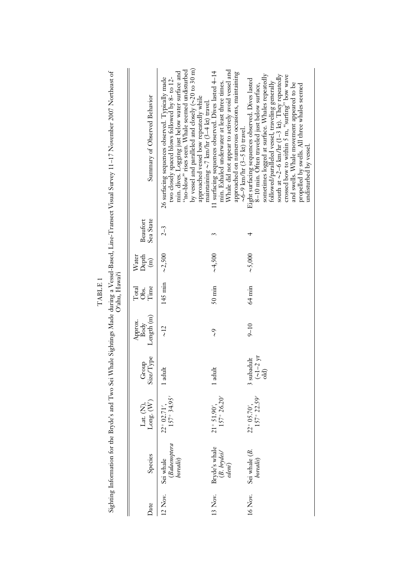| 22° 05.70',<br>$22^{\circ}$ 02.71'.<br>$1^{\circ} 51.90'$ ,<br>Lat. (N), | Group<br>Size/Type<br>$\begin{array}{c}\n\left(\sim\!1\!-\!2\right.$ yr<br>3 subadult<br>1 adult<br>1 adult | Length (m)<br>Approx.<br>Body<br>$9 - 10$<br>$\sim$ 12<br>$\mathcal{S}$           | $64 \text{ min}$<br>$50 \text{ min}$<br>Time<br>Total<br>Obs. | ~1,500<br>$\sim$ 5,000<br>Depth<br>Water<br>$\widehat{\mathbf{H}}$ | Sea State<br>Beaufort<br>$2 - 3$       | min. dives. Logging just below water surface and<br>"no-blow" rises seen. Whale seemed undisturbed<br>by vessel and paralleled and closely $(\sim20 \text{ to } 30 \text{ m})$<br>Whale did not appear to actively avoid vessel and<br>11 surfacing sequences observed. Dives lasted 4-14<br>approached on numerous occasions, maintaining<br>south at $\sim$ 2-6 km/hr (1-3 kt). They repeatedly<br>sometimes logged at surface. Whales repeatedly<br>crossed bow to within 5 m, "surfing" bow wave<br>two closely spaced blows followed by 8- to 12-<br>26 surfacing sequences observed. Typically made<br>Eight surfacing sequences observed. Dives lasted<br>followed/paralleled vessel, traveling generally<br>min. Exhaled underwater at least three times.<br>and swells. Whale movement appeared to be<br>8-10 min. Often traveled just below surface,<br>propelled by swells. All three whales seemed<br>Summary of Observed Behavior<br>approached vessel bow repeatedly while<br>maintaining $\sim$ 7 km/hr (3-4 kt) travel.<br>$\sim$ 6–9 km/hr (3–5 kt) travel. |
|--------------------------------------------------------------------------|-------------------------------------------------------------------------------------------------------------|-----------------------------------------------------------------------------------|---------------------------------------------------------------|--------------------------------------------------------------------|----------------------------------------|------------------------------------------------------------------------------------------------------------------------------------------------------------------------------------------------------------------------------------------------------------------------------------------------------------------------------------------------------------------------------------------------------------------------------------------------------------------------------------------------------------------------------------------------------------------------------------------------------------------------------------------------------------------------------------------------------------------------------------------------------------------------------------------------------------------------------------------------------------------------------------------------------------------------------------------------------------------------------------------------------------------------------------------------------------------------------|
| <i>borealis</i> )<br>Sei whale                                           | (Balaenoptera<br>borealis)<br>Bryde's whale<br>(B. brydei/<br>edeni)<br>Sei whale (B.<br>Species            | $157^{\circ} 26.20'$<br>$157^{\circ}$ 34.95'<br>$157^{\circ}$ 22.59'<br>Long. (W) |                                                               |                                                                    | 145 min $\sim$ 2,500<br>Oʻahu, Hawaiʻi | Sighting Information for the Bryde's and Two Sei Whale Sightings Made during a Vessel-Based, Line-Transect Visual Survey 11–17 November 2007 Northeast of                                                                                                                                                                                                                                                                                                                                                                                                                                                                                                                                                                                                                                                                                                                                                                                                                                                                                                                    |

 $\operatorname{TABLE}1$ TABLE 1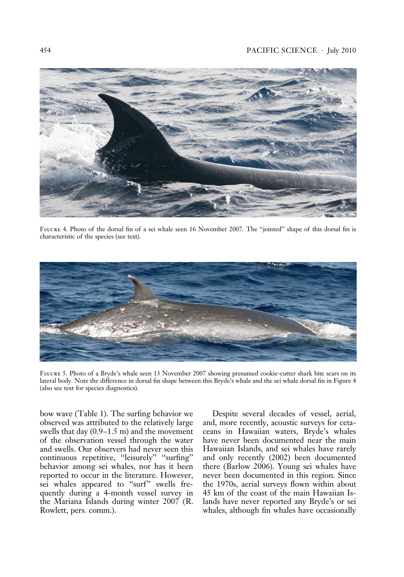## 454 PACIFIC SCIENCE . July 2010



Figure 4. Photo of the dorsal fin of a sei whale seen 16 November 2007. The ''jointed'' shape of this dorsal fin is characteristic of the species (see text).



Figure 5. Photo of a Bryde's whale seen 13 November 2007 showing presumed cookie-cutter shark bite scars on its lateral body. Note the difference in dorsal fin shape between this Bryde's whale and the sei whale dorsal fin in Figure 4 (also see text for species diagnostics).

bow wave (Table 1). The surfing behavior we observed was attributed to the relatively large swells that day (0.9–1.5 m) and the movement of the observation vessel through the water and swells. Our observers had never seen this continuous repetitive, "leisurely" "surfing" behavior among sei whales, nor has it been reported to occur in the literature. However, sei whales appeared to ''surf'' swells frequently during a 4-month vessel survey in the Mariana Islands during winter 2007 (R. Rowlett, pers. comm.).

Despite several decades of vessel, aerial, and, more recently, acoustic surveys for cetaceans in Hawaiian waters, Bryde's whales have never been documented near the main Hawaiian Islands, and sei whales have rarely and only recently (2002) been documented there (Barlow 2006). Young sei whales have never been documented in this region. Since the 1970s, aerial surveys flown within about 45 km of the coast of the main Hawaiian Islands have never reported any Bryde's or sei whales, although fin whales have occasionally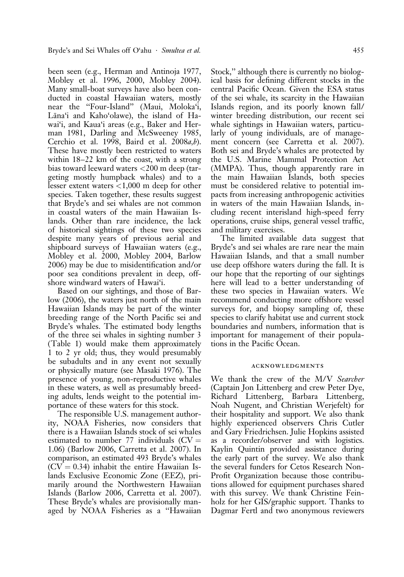been seen (e.g., Herman and Antinoja 1977, Mobley et al. 1996, 2000, Mobley 2004). Many small-boat surveys have also been conducted in coastal Hawaiian waters, mostly near the ''Four-Island'' (Maui, Moloka'i, Lāna'i and Kaho'olawe), the island of Hawai'i, and Kaua'i areas (e.g., Baker and Herman 1981, Darling and McSweeney 1985, Cerchio et al. 1998, Baird et al.  $2008a,b$ ). These have mostly been restricted to waters within 18–22 km of the coast, with a strong bias toward leeward waters <200 m deep (targeting mostly humpback whales) and to a lesser extent waters <1,000 m deep for other species. Taken together, these results suggest that Bryde's and sei whales are not common in coastal waters of the main Hawaiian Islands. Other than rare incidence, the lack of historical sightings of these two species despite many years of previous aerial and shipboard surveys of Hawaiian waters (e.g., Mobley et al. 2000, Mobley 2004, Barlow 2006) may be due to misidentification and/or poor sea conditions prevalent in deep, offshore windward waters of Hawai'i.

Based on our sightings, and those of Barlow (2006), the waters just north of the main Hawaiian Islands may be part of the winter breeding range of the North Pacific sei and Bryde's whales. The estimated body lengths of the three sei whales in sighting number 3 (Table 1) would make them approximately 1 to 2 yr old; thus, they would presumably be subadults and in any event not sexually or physically mature (see Masaki 1976). The presence of young, non-reproductive whales in these waters, as well as presumably breeding adults, lends weight to the potential importance of these waters for this stock.

The responsible U.S. management authority, NOAA Fisheries, now considers that there is a Hawaiian Islands stock of sei whales estimated to number 77 individuals ( $CV =$ 1.06) (Barlow 2006, Carretta et al. 2007). In comparison, an estimated 493 Bryde's whales  $(CV = 0.34)$  inhabit the entire Hawaiian Islands Exclusive Economic Zone (EEZ), primarily around the Northwestern Hawaiian Islands (Barlow 2006, Carretta et al. 2007). These Bryde's whales are provisionally managed by NOAA Fisheries as a ''Hawaiian

Stock,'' although there is currently no biological basis for defining different stocks in the central Pacific Ocean. Given the ESA status of the sei whale, its scarcity in the Hawaiian Islands region, and its poorly known fall/ winter breeding distribution, our recent sei whale sightings in Hawaiian waters, particularly of young individuals, are of management concern (see Carretta et al. 2007). Both sei and Bryde's whales are protected by the U.S. Marine Mammal Protection Act (MMPA). Thus, though apparently rare in the main Hawaiian Islands, both species must be considered relative to potential impacts from increasing anthropogenic activities in waters of the main Hawaiian Islands, including recent interisland high-speed ferry operations, cruise ships, general vessel traffic, and military exercises.

The limited available data suggest that Bryde's and sei whales are rare near the main Hawaiian Islands, and that a small number use deep offshore waters during the fall. It is our hope that the reporting of our sightings here will lead to a better understanding of these two species in Hawaiian waters. We recommend conducting more offshore vessel surveys for, and biopsy sampling of, these species to clarify habitat use and current stock boundaries and numbers, information that is important for management of their populations in the Pacific Ocean.

#### acknowledgments

We thank the crew of the M/V Searcher (Captain Jon Littenberg and crew Peter Dye, Richard Littenberg, Barbara Littenberg, Noah Nugent, and Christian Werjefelt) for their hospitality and support. We also thank highly experienced observers Chris Cutler and Gary Friedrichsen. Julie Hopkins assisted as a recorder/observer and with logistics. Kaylin Quintin provided assistance during the early part of the survey. We also thank the several funders for Cetos Research Non-Profit Organization because those contributions allowed for equipment purchases shared with this survey. We thank Christine Feinholz for her GIS/graphic support. Thanks to Dagmar Fertl and two anonymous reviewers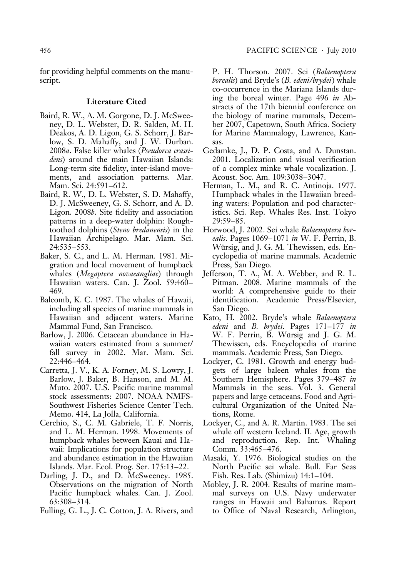for providing helpful comments on the manuscript.

## Literature Cited

- Baird, R. W., A. M. Gorgone, D. J. McSweeney, D. L. Webster, D. R. Salden, M. H. Deakos, A. D. Ligon, G. S. Schorr, J. Barlow, S. D. Mahaffy, and J. W. Durban. 2008a. False killer whales (Pseudorca crassidens) around the main Hawaiian Islands: Long-term site fidelity, inter-island movements, and association patterns. Mar. Mam. Sci. 24:591–612.
- Baird, R. W., D. L. Webster, S. D. Mahaffy, D. J. McSweeney, G. S. Schorr, and A. D. Ligon. 2008b. Site fidelity and association patterns in a deep-water dolphin: Roughtoothed dolphins (Steno bredanensis) in the Hawaiian Archipelago. Mar. Mam. Sci. 24:535–553.
- Baker, S. C., and L. M. Herman. 1981. Migration and local movement of humpback whales (Megaptera novaeangliae) through Hawaiian waters. Can. J. Zool. 59:460– 469.
- Balcomb, K. C. 1987. The whales of Hawaii, including all species of marine mammals in Hawaiian and adjacent waters. Marine Mammal Fund, San Francisco.
- Barlow, J. 2006. Cetacean abundance in Hawaiian waters estimated from a summer/ fall survey in 2002. Mar. Mam. Sci. 22:446–464.
- Carretta, J. V., K. A. Forney, M. S. Lowry, J. Barlow, J. Baker, B. Hanson, and M. M. Muto. 2007. U.S. Pacific marine mammal stock assessments: 2007. NOAA NMFS-Southwest Fisheries Science Center Tech. Memo. 414, La Jolla, California.
- Cerchio, S., C. M. Gabriele, T. F. Norris, and L. M. Herman. 1998. Movements of humpback whales between Kauai and Hawaii: Implications for population structure and abundance estimation in the Hawaiian Islands. Mar. Ecol. Prog. Ser. 175:13–22.
- Darling, J. D., and D. McSweeney. 1985. Observations on the migration of North Pacific humpback whales. Can. J. Zool. 63:308–314.
- Fulling, G. L., J. C. Cotton, J. A. Rivers, and
- P. H. Thorson. 2007. Sei (Balaenoptera borealis) and Bryde's (B. edeni/brydei) whale co-occurrence in the Mariana Islands during the boreal winter. Page 496 in Abstracts of the 17th biennial conference on the biology of marine mammals, December 2007, Capetown, South Africa. Society for Marine Mammalogy, Lawrence, Kansas.
- Gedamke, J., D. P. Costa, and A. Dunstan. 2001. Localization and visual verification of a complex minke whale vocalization. J. Acoust. Soc. Am. 109:3038–3047.
- Herman, L. M., and R. C. Antinoja. 1977. Humpback whales in the Hawaiian breeding waters: Population and pod characteristics. Sci. Rep. Whales Res. Inst. Tokyo 29:59–85.
- Horwood, J. 2002. Sei whale Balaenoptera borealis. Pages 1069–1071 in W. F. Perrin, B. Würsig, and J. G. M. Thewissen, eds. Encyclopedia of marine mammals. Academic Press, San Diego.
- Jefferson, T. A., M. A. Webber, and R. L. Pitman. 2008. Marine mammals of the world: A comprehensive guide to their identification. Academic Press/Elsevier, San Diego.
- Kato, H. 2002. Bryde's whale Balaenoptera edeni and B. brydei. Pages  $171-177$  in W. F. Perrin, B. Würsig and J. G. M. Thewissen, eds. Encyclopedia of marine mammals. Academic Press, San Diego.
- Lockyer, C. 1981. Growth and energy budgets of large baleen whales from the Southern Hemisphere. Pages 379–487 in Mammals in the seas. Vol. 3. General papers and large cetaceans. Food and Agricultural Organization of the United Nations, Rome.
- Lockyer, C., and A. R. Martin. 1983. The sei whale off western Iceland. II. Age, growth and reproduction. Rep. Int. Whaling Comm. 33:465–476.
- Masaki, Y. 1976. Biological studies on the North Pacific sei whale. Bull. Far Seas Fish. Res. Lab. (Shimizu) 14:1–104.
- Mobley, J. R. 2004. Results of marine mammal surveys on U.S. Navy underwater ranges in Hawaii and Bahamas. Report to Office of Naval Research, Arlington,